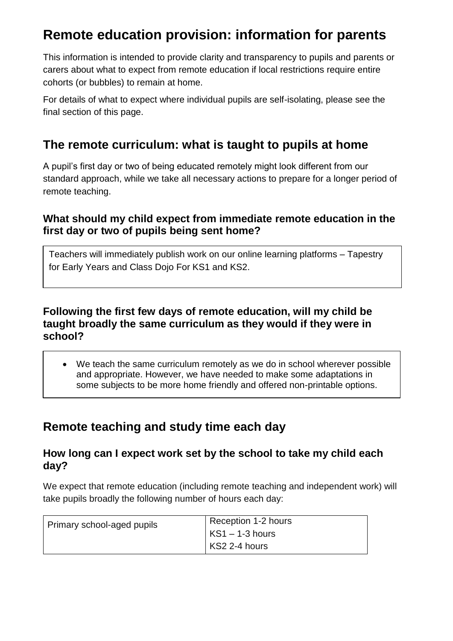# **Remote education provision: information for parents**

This information is intended to provide clarity and transparency to pupils and parents or carers about what to expect from remote education if local restrictions require entire cohorts (or bubbles) to remain at home.

For details of what to expect where individual pupils are self-isolating, please see the final section of this page.

## **The remote curriculum: what is taught to pupils at home**

A pupil's first day or two of being educated remotely might look different from our standard approach, while we take all necessary actions to prepare for a longer period of remote teaching.

#### **What should my child expect from immediate remote education in the first day or two of pupils being sent home?**

Teachers will immediately publish work on our online learning platforms – Tapestry for Early Years and Class Dojo For KS1 and KS2.

#### **Following the first few days of remote education, will my child be taught broadly the same curriculum as they would if they were in school?**

 We teach the same curriculum remotely as we do in school wherever possible and appropriate. However, we have needed to make some adaptations in some subjects to be more home friendly and offered non-printable options.

## **Remote teaching and study time each day**

#### **How long can I expect work set by the school to take my child each day?**

We expect that remote education (including remote teaching and independent work) will take pupils broadly the following number of hours each day:

| Primary school-aged pupils | Reception 1-2 hours |
|----------------------------|---------------------|
|                            | $KS1 - 1-3$ hours   |
|                            | KS2 2-4 hours       |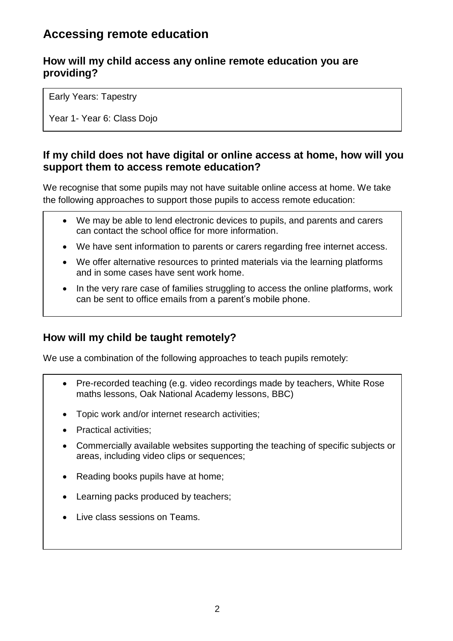## **Accessing remote education**

#### **How will my child access any online remote education you are providing?**

Early Years: Tapestry

Year 1- Year 6: Class Dojo

#### **If my child does not have digital or online access at home, how will you support them to access remote education?**

We recognise that some pupils may not have suitable online access at home. We take the following approaches to support those pupils to access remote education:

- We may be able to lend electronic devices to pupils, and parents and carers can contact the school office for more information.
- We have sent information to parents or carers regarding free internet access.
- We offer alternative resources to printed materials via the learning platforms and in some cases have sent work home.
- In the very rare case of families struggling to access the online platforms, work can be sent to office emails from a parent's mobile phone.

#### **How will my child be taught remotely?**

We use a combination of the following approaches to teach pupils remotely:

- Pre-recorded teaching (e.g. video recordings made by teachers, White Rose maths lessons, Oak National Academy lessons, BBC)
- Topic work and/or internet research activities;
- Practical activities;
- Commercially available websites supporting the teaching of specific subjects or areas, including video clips or sequences;
- Reading books pupils have at home;
- Learning packs produced by teachers;
- Live class sessions on Teams.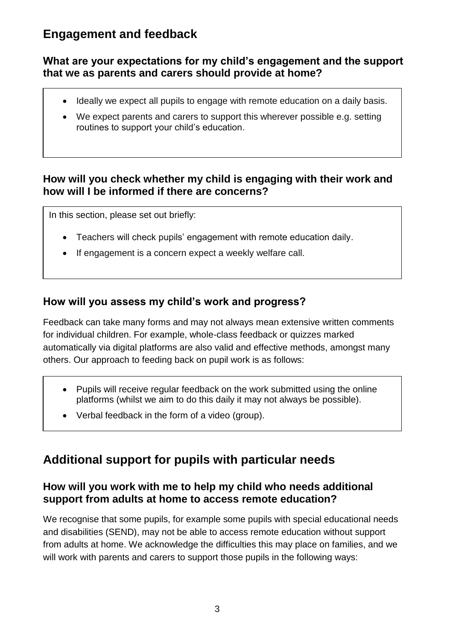## **Engagement and feedback**

#### **What are your expectations for my child's engagement and the support that we as parents and carers should provide at home?**

- Ideally we expect all pupils to engage with remote education on a daily basis.
- We expect parents and carers to support this wherever possible e.g. setting routines to support your child's education.

#### **How will you check whether my child is engaging with their work and how will I be informed if there are concerns?**

In this section, please set out briefly:

- Teachers will check pupils' engagement with remote education daily.
- If engagement is a concern expect a weekly welfare call.

#### **How will you assess my child's work and progress?**

Feedback can take many forms and may not always mean extensive written comments for individual children. For example, whole-class feedback or quizzes marked automatically via digital platforms are also valid and effective methods, amongst many others. Our approach to feeding back on pupil work is as follows:

- Pupils will receive regular feedback on the work submitted using the online platforms (whilst we aim to do this daily it may not always be possible).
- Verbal feedback in the form of a video (group).

## **Additional support for pupils with particular needs**

#### **How will you work with me to help my child who needs additional support from adults at home to access remote education?**

We recognise that some pupils, for example some pupils with special educational needs and disabilities (SEND), may not be able to access remote education without support from adults at home. We acknowledge the difficulties this may place on families, and we will work with parents and carers to support those pupils in the following ways: